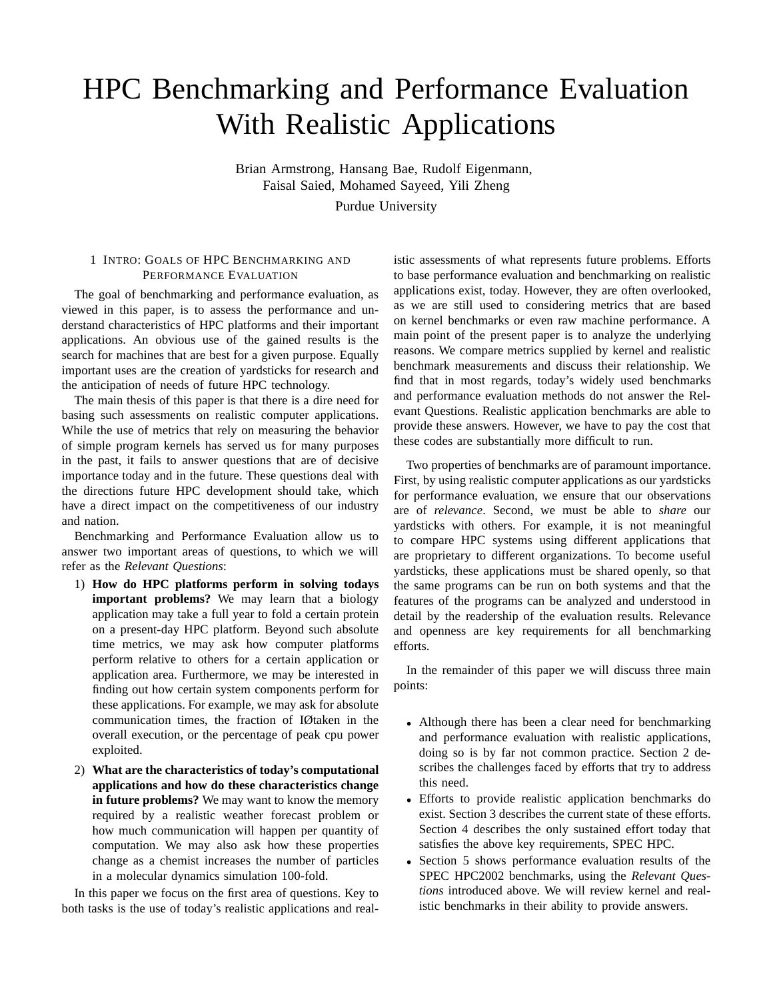# HPC Benchmarking and Performance Evaluation With Realistic Applications

Brian Armstrong, Hansang Bae, Rudolf Eigenmann, Faisal Saied, Mohamed Sayeed, Yili Zheng Purdue University

# 1 INTRO: GOALS OF HPC BENCHMARKING AND PERFORMANCE EVALUATION

The goal of benchmarking and performance evaluation, as viewed in this paper, is to assess the performance and understand characteristics of HPC platforms and their important applications. An obvious use of the gained results is the search for machines that are best for a given purpose. Equally important uses are the creation of yardsticks for research and the anticipation of needs of future HPC technology.

The main thesis of this paper is that there is a dire need for basing such assessments on realistic computer applications. While the use of metrics that rely on measuring the behavior of simple program kernels has served us for many purposes in the past, it fails to answer questions that are of decisive importance today and in the future. These questions deal with the directions future HPC development should take, which have a direct impact on the competitiveness of our industry and nation.

Benchmarking and Performance Evaluation allow us to answer two important areas of questions, to which we will refer as the *Relevant Questions*:

- 1) **How do HPC platforms perform in solving todays important problems?** We may learn that a biology application may take a full year to fold a certain protein on a present-day HPC platform. Beyond such absolute time metrics, we may ask how computer platforms perform relative to others for a certain application or application area. Furthermore, we may be interested in finding out how certain system components perform for these applications. For example, we may ask for absolute communication times, the fraction of IØtaken in the overall execution, or the percentage of peak cpu power exploited.
- 2) **What are the characteristics of today's computational applications and how do these characteristics change in future problems?** We may want to know the memory required by a realistic weather forecast problem or how much communication will happen per quantity of computation. We may also ask how these properties change as a chemist increases the number of particles in a molecular dynamics simulation 100-fold.

In this paper we focus on the first area of questions. Key to both tasks is the use of today's realistic applications and realistic assessments of what represents future problems. Efforts to base performance evaluation and benchmarking on realistic applications exist, today. However, they are often overlooked, as we are still used to considering metrics that are based on kernel benchmarks or even raw machine performance. A main point of the present paper is to analyze the underlying reasons. We compare metrics supplied by kernel and realistic benchmark measurements and discuss their relationship. We find that in most regards, today's widely used benchmarks and performance evaluation methods do not answer the Relevant Questions. Realistic application benchmarks are able to provide these answers. However, we have to pay the cost that these codes are substantially more difficult to run.

Two properties of benchmarks are of paramount importance. First, by using realistic computer applications as our yardsticks for performance evaluation, we ensure that our observations are of *relevance*. Second, we must be able to *share* our yardsticks with others. For example, it is not meaningful to compare HPC systems using different applications that are proprietary to different organizations. To become useful yardsticks, these applications must be shared openly, so that the same programs can be run on both systems and that the features of the programs can be analyzed and understood in detail by the readership of the evaluation results. Relevance and openness are key requirements for all benchmarking efforts.

In the remainder of this paper we will discuss three main points:

- Although there has been a clear need for benchmarking and performance evaluation with realistic applications, doing so is by far not common practice. Section 2 describes the challenges faced by efforts that try to address this need.
- Efforts to provide realistic application benchmarks do exist. Section 3 describes the current state of these efforts. Section 4 describes the only sustained effort today that satisfies the above key requirements, SPEC HPC.
- Section 5 shows performance evaluation results of the SPEC HPC2002 benchmarks, using the *Relevant Questions* introduced above. We will review kernel and realistic benchmarks in their ability to provide answers.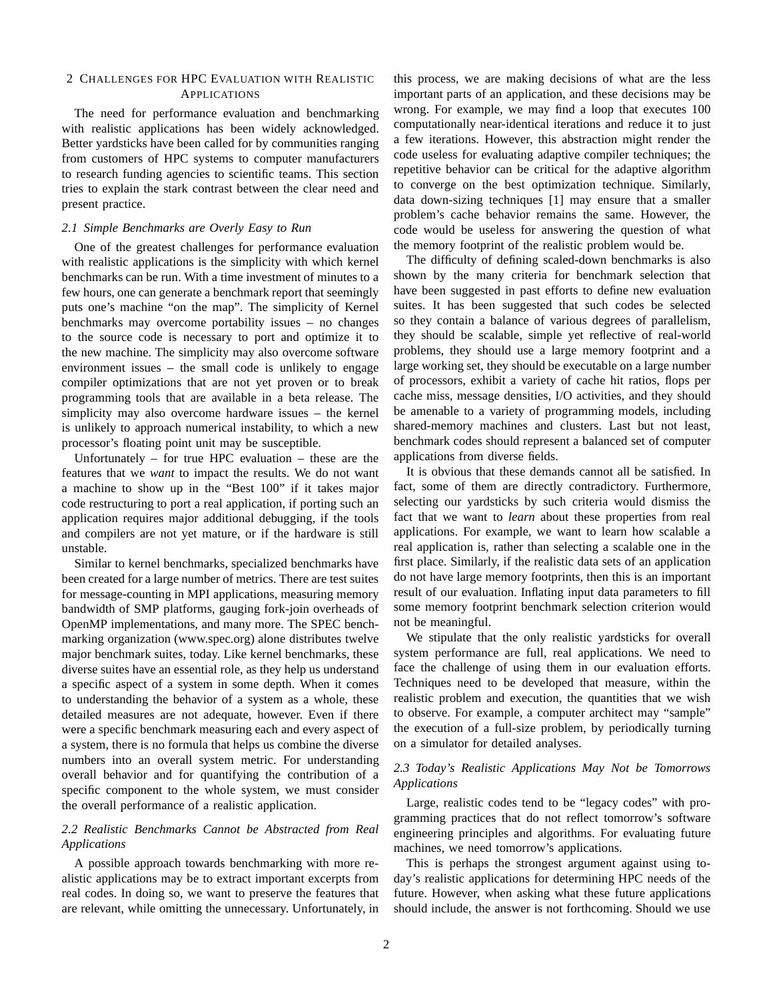## 2 CHALLENGES FOR HPC EVALUATION WITH REALISTIC APPLICATIONS

The need for performance evaluation and benchmarking with realistic applications has been widely acknowledged. Better yardsticks have been called for by communities ranging from customers of HPC systems to computer manufacturers to research funding agencies to scientific teams. This section tries to explain the stark contrast between the clear need and present practice.

## *2.1 Simple Benchmarks are Overly Easy to Run*

One of the greatest challenges for performance evaluation with realistic applications is the simplicity with which kernel benchmarks can be run. With a time investment of minutes to a few hours, one can generate a benchmark report that seemingly puts one's machine "on the map". The simplicity of Kernel benchmarks may overcome portability issues – no changes to the source code is necessary to port and optimize it to the new machine. The simplicity may also overcome software environment issues – the small code is unlikely to engage compiler optimizations that are not yet proven or to break programming tools that are available in a beta release. The simplicity may also overcome hardware issues – the kernel is unlikely to approach numerical instability, to which a new processor's floating point unit may be susceptible.

Unfortunately – for true HPC evaluation – these are the features that we *want* to impact the results. We do not want a machine to show up in the "Best 100" if it takes major code restructuring to port a real application, if porting such an application requires major additional debugging, if the tools and compilers are not yet mature, or if the hardware is still unstable.

Similar to kernel benchmarks, specialized benchmarks have been created for a large number of metrics. There are test suites for message-counting in MPI applications, measuring memory bandwidth of SMP platforms, gauging fork-join overheads of OpenMP implementations, and many more. The SPEC benchmarking organization (www.spec.org) alone distributes twelve major benchmark suites, today. Like kernel benchmarks, these diverse suites have an essential role, as they help us understand a specific aspect of a system in some depth. When it comes to understanding the behavior of a system as a whole, these detailed measures are not adequate, however. Even if there were a specific benchmark measuring each and every aspect of a system, there is no formula that helps us combine the diverse numbers into an overall system metric. For understanding overall behavior and for quantifying the contribution of a specific component to the whole system, we must consider the overall performance of a realistic application.

## *2.2 Realistic Benchmarks Cannot be Abstracted from Real Applications*

A possible approach towards benchmarking with more realistic applications may be to extract important excerpts from real codes. In doing so, we want to preserve the features that are relevant, while omitting the unnecessary. Unfortunately, in

this process, we are making decisions of what are the less important parts of an application, and these decisions may be wrong. For example, we may find a loop that executes 100 computationally near-identical iterations and reduce it to just a few iterations. However, this abstraction might render the code useless for evaluating adaptive compiler techniques; the repetitive behavior can be critical for the adaptive algorithm to converge on the best optimization technique. Similarly, data down-sizing techniques [1] may ensure that a smaller problem's cache behavior remains the same. However, the code would be useless for answering the question of what the memory footprint of the realistic problem would be.

The difficulty of defining scaled-down benchmarks is also shown by the many criteria for benchmark selection that have been suggested in past efforts to define new evaluation suites. It has been suggested that such codes be selected so they contain a balance of various degrees of parallelism, they should be scalable, simple yet reflective of real-world problems, they should use a large memory footprint and a large working set, they should be executable on a large number of processors, exhibit a variety of cache hit ratios, flops per cache miss, message densities, I/O activities, and they should be amenable to a variety of programming models, including shared-memory machines and clusters. Last but not least, benchmark codes should represent a balanced set of computer applications from diverse fields.

It is obvious that these demands cannot all be satisfied. In fact, some of them are directly contradictory. Furthermore, selecting our yardsticks by such criteria would dismiss the fact that we want to *learn* about these properties from real applications. For example, we want to learn how scalable a real application is, rather than selecting a scalable one in the first place. Similarly, if the realistic data sets of an application do not have large memory footprints, then this is an important result of our evaluation. Inflating input data parameters to fill some memory footprint benchmark selection criterion would not be meaningful.

We stipulate that the only realistic yardsticks for overall system performance are full, real applications. We need to face the challenge of using them in our evaluation efforts. Techniques need to be developed that measure, within the realistic problem and execution, the quantities that we wish to observe. For example, a computer architect may "sample" the execution of a full-size problem, by periodically turning on a simulator for detailed analyses.

# *2.3 Today's Realistic Applications May Not be Tomorrows Applications*

Large, realistic codes tend to be "legacy codes" with programming practices that do not reflect tomorrow's software engineering principles and algorithms. For evaluating future machines, we need tomorrow's applications.

This is perhaps the strongest argument against using today's realistic applications for determining HPC needs of the future. However, when asking what these future applications should include, the answer is not forthcoming. Should we use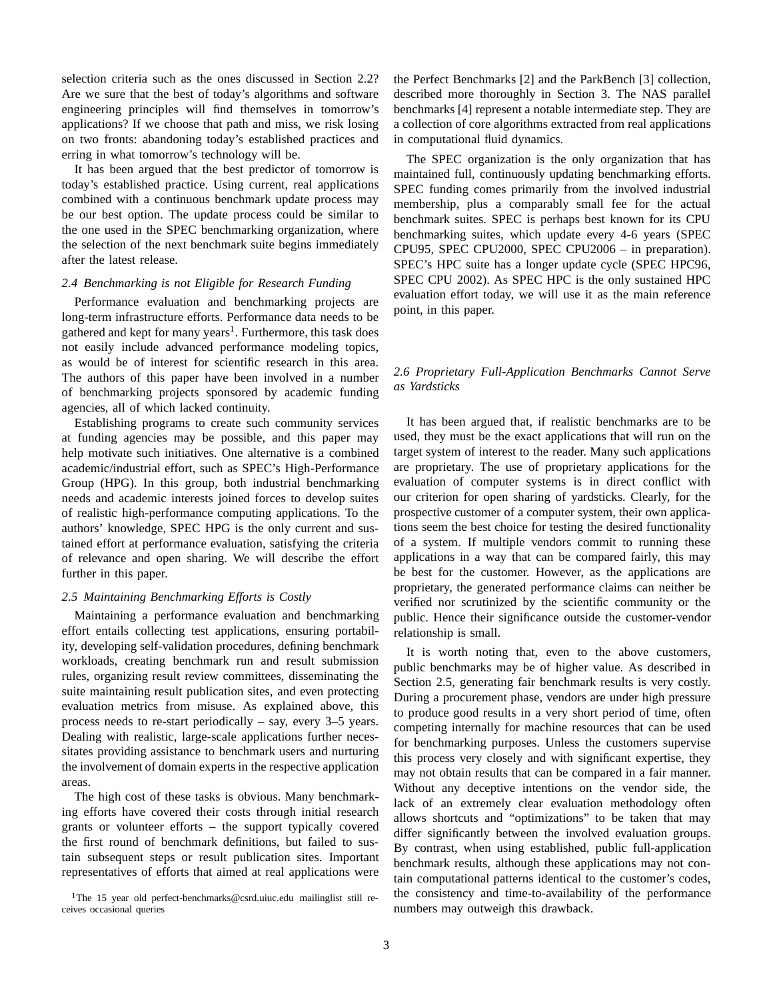selection criteria such as the ones discussed in Section 2.2? Are we sure that the best of today's algorithms and software engineering principles will find themselves in tomorrow's applications? If we choose that path and miss, we risk losing on two fronts: abandoning today's established practices and erring in what tomorrow's technology will be.

It has been argued that the best predictor of tomorrow is today's established practice. Using current, real applications combined with a continuous benchmark update process may be our best option. The update process could be similar to the one used in the SPEC benchmarking organization, where the selection of the next benchmark suite begins immediately after the latest release.

#### *2.4 Benchmarking is not Eligible for Research Funding*

Performance evaluation and benchmarking projects are long-term infrastructure efforts. Performance data needs to be gathered and kept for many years<sup>1</sup>. Furthermore, this task does not easily include advanced performance modeling topics, as would be of interest for scientific research in this area. The authors of this paper have been involved in a number of benchmarking projects sponsored by academic funding agencies, all of which lacked continuity.

Establishing programs to create such community services at funding agencies may be possible, and this paper may help motivate such initiatives. One alternative is a combined academic/industrial effort, such as SPEC's High-Performance Group (HPG). In this group, both industrial benchmarking needs and academic interests joined forces to develop suites of realistic high-performance computing applications. To the authors' knowledge, SPEC HPG is the only current and sustained effort at performance evaluation, satisfying the criteria of relevance and open sharing. We will describe the effort further in this paper.

#### *2.5 Maintaining Benchmarking Efforts is Costly*

Maintaining a performance evaluation and benchmarking effort entails collecting test applications, ensuring portability, developing self-validation procedures, defining benchmark workloads, creating benchmark run and result submission rules, organizing result review committees, disseminating the suite maintaining result publication sites, and even protecting evaluation metrics from misuse. As explained above, this process needs to re-start periodically – say, every 3–5 years. Dealing with realistic, large-scale applications further necessitates providing assistance to benchmark users and nurturing the involvement of domain experts in the respective application areas.

The high cost of these tasks is obvious. Many benchmarking efforts have covered their costs through initial research grants or volunteer efforts – the support typically covered the first round of benchmark definitions, but failed to sustain subsequent steps or result publication sites. Important representatives of efforts that aimed at real applications were

<sup>1</sup>The 15 year old perfect-benchmarks@csrd.uiuc.edu mailinglist still receives occasional queries

the Perfect Benchmarks [2] and the ParkBench [3] collection, described more thoroughly in Section 3. The NAS parallel benchmarks [4] represent a notable intermediate step. They are a collection of core algorithms extracted from real applications in computational fluid dynamics.

The SPEC organization is the only organization that has maintained full, continuously updating benchmarking efforts. SPEC funding comes primarily from the involved industrial membership, plus a comparably small fee for the actual benchmark suites. SPEC is perhaps best known for its CPU benchmarking suites, which update every 4-6 years (SPEC CPU95, SPEC CPU2000, SPEC CPU2006 – in preparation). SPEC's HPC suite has a longer update cycle (SPEC HPC96, SPEC CPU 2002). As SPEC HPC is the only sustained HPC evaluation effort today, we will use it as the main reference point, in this paper.

## *2.6 Proprietary Full-Application Benchmarks Cannot Serve as Yardsticks*

It has been argued that, if realistic benchmarks are to be used, they must be the exact applications that will run on the target system of interest to the reader. Many such applications are proprietary. The use of proprietary applications for the evaluation of computer systems is in direct conflict with our criterion for open sharing of yardsticks. Clearly, for the prospective customer of a computer system, their own applications seem the best choice for testing the desired functionality of a system. If multiple vendors commit to running these applications in a way that can be compared fairly, this may be best for the customer. However, as the applications are proprietary, the generated performance claims can neither be verified nor scrutinized by the scientific community or the public. Hence their significance outside the customer-vendor relationship is small.

It is worth noting that, even to the above customers, public benchmarks may be of higher value. As described in Section 2.5, generating fair benchmark results is very costly. During a procurement phase, vendors are under high pressure to produce good results in a very short period of time, often competing internally for machine resources that can be used for benchmarking purposes. Unless the customers supervise this process very closely and with significant expertise, they may not obtain results that can be compared in a fair manner. Without any deceptive intentions on the vendor side, the lack of an extremely clear evaluation methodology often allows shortcuts and "optimizations" to be taken that may differ significantly between the involved evaluation groups. By contrast, when using established, public full-application benchmark results, although these applications may not contain computational patterns identical to the customer's codes, the consistency and time-to-availability of the performance numbers may outweigh this drawback.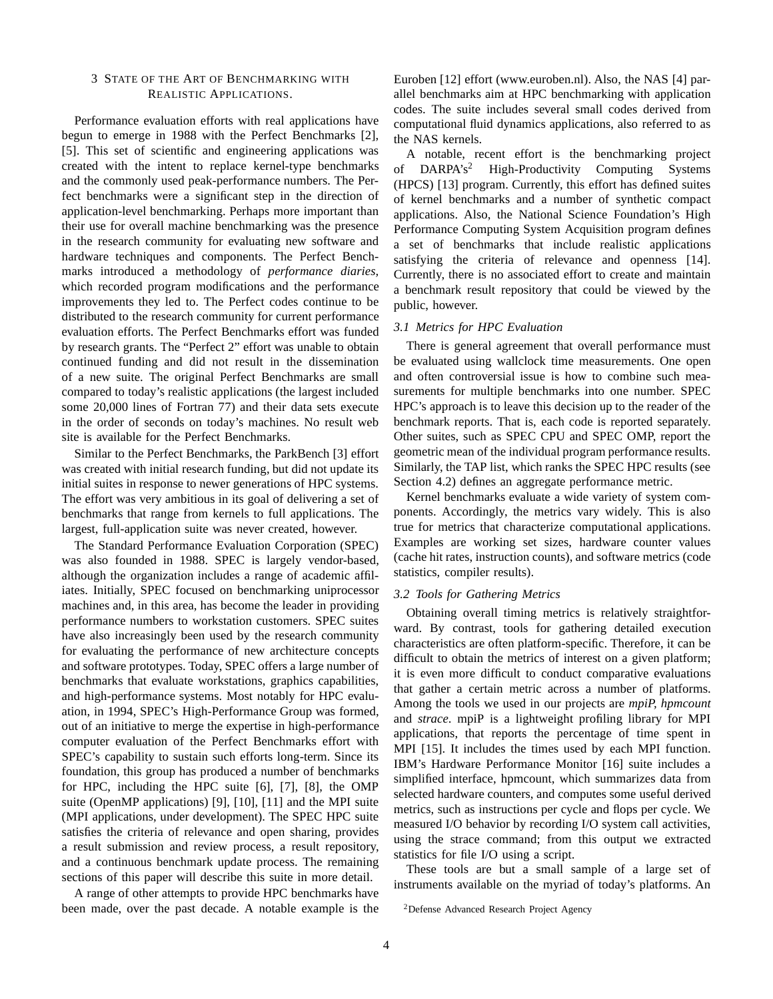### 3 STATE OF THE ART OF BENCHMARKING WITH REALISTIC APPLICATIONS.

Performance evaluation efforts with real applications have begun to emerge in 1988 with the Perfect Benchmarks [2], [5]. This set of scientific and engineering applications was created with the intent to replace kernel-type benchmarks and the commonly used peak-performance numbers. The Perfect benchmarks were a significant step in the direction of application-level benchmarking. Perhaps more important than their use for overall machine benchmarking was the presence in the research community for evaluating new software and hardware techniques and components. The Perfect Benchmarks introduced a methodology of *performance diaries,* which recorded program modifications and the performance improvements they led to. The Perfect codes continue to be distributed to the research community for current performance evaluation efforts. The Perfect Benchmarks effort was funded by research grants. The "Perfect 2" effort was unable to obtain continued funding and did not result in the dissemination of a new suite. The original Perfect Benchmarks are small compared to today's realistic applications (the largest included some 20,000 lines of Fortran 77) and their data sets execute in the order of seconds on today's machines. No result web site is available for the Perfect Benchmarks.

Similar to the Perfect Benchmarks, the ParkBench [3] effort was created with initial research funding, but did not update its initial suites in response to newer generations of HPC systems. The effort was very ambitious in its goal of delivering a set of benchmarks that range from kernels to full applications. The largest, full-application suite was never created, however.

The Standard Performance Evaluation Corporation (SPEC) was also founded in 1988. SPEC is largely vendor-based, although the organization includes a range of academic affiliates. Initially, SPEC focused on benchmarking uniprocessor machines and, in this area, has become the leader in providing performance numbers to workstation customers. SPEC suites have also increasingly been used by the research community for evaluating the performance of new architecture concepts and software prototypes. Today, SPEC offers a large number of benchmarks that evaluate workstations, graphics capabilities, and high-performance systems. Most notably for HPC evaluation, in 1994, SPEC's High-Performance Group was formed, out of an initiative to merge the expertise in high-performance computer evaluation of the Perfect Benchmarks effort with SPEC's capability to sustain such efforts long-term. Since its foundation, this group has produced a number of benchmarks for HPC, including the HPC suite [6], [7], [8], the OMP suite (OpenMP applications) [9], [10], [11] and the MPI suite (MPI applications, under development). The SPEC HPC suite satisfies the criteria of relevance and open sharing, provides a result submission and review process, a result repository, and a continuous benchmark update process. The remaining sections of this paper will describe this suite in more detail.

A range of other attempts to provide HPC benchmarks have been made, over the past decade. A notable example is the Euroben [12] effort (www.euroben.nl). Also, the NAS [4] parallel benchmarks aim at HPC benchmarking with application codes. The suite includes several small codes derived from computational fluid dynamics applications, also referred to as the NAS kernels.

A notable, recent effort is the benchmarking project of DARPA's<sup>2</sup> High-Productivity Computing Systems (HPCS) [13] program. Currently, this effort has defined suites of kernel benchmarks and a number of synthetic compact applications. Also, the National Science Foundation's High Performance Computing System Acquisition program defines a set of benchmarks that include realistic applications satisfying the criteria of relevance and openness [14]. Currently, there is no associated effort to create and maintain a benchmark result repository that could be viewed by the public, however.

#### *3.1 Metrics for HPC Evaluation*

There is general agreement that overall performance must be evaluated using wallclock time measurements. One open and often controversial issue is how to combine such measurements for multiple benchmarks into one number. SPEC HPC's approach is to leave this decision up to the reader of the benchmark reports. That is, each code is reported separately. Other suites, such as SPEC CPU and SPEC OMP, report the geometric mean of the individual program performance results. Similarly, the TAP list, which ranks the SPEC HPC results (see Section 4.2) defines an aggregate performance metric.

Kernel benchmarks evaluate a wide variety of system components. Accordingly, the metrics vary widely. This is also true for metrics that characterize computational applications. Examples are working set sizes, hardware counter values (cache hit rates, instruction counts), and software metrics (code statistics, compiler results).

#### *3.2 Tools for Gathering Metrics*

Obtaining overall timing metrics is relatively straightforward. By contrast, tools for gathering detailed execution characteristics are often platform-specific. Therefore, it can be difficult to obtain the metrics of interest on a given platform; it is even more difficult to conduct comparative evaluations that gather a certain metric across a number of platforms. Among the tools we used in our projects are *mpiP, hpmcount* and *strace*. mpiP is a lightweight profiling library for MPI applications, that reports the percentage of time spent in MPI [15]. It includes the times used by each MPI function. IBM's Hardware Performance Monitor [16] suite includes a simplified interface, hpmcount, which summarizes data from selected hardware counters, and computes some useful derived metrics, such as instructions per cycle and flops per cycle. We measured I/O behavior by recording I/O system call activities, using the strace command; from this output we extracted statistics for file I/O using a script.

These tools are but a small sample of a large set of instruments available on the myriad of today's platforms. An

<sup>2</sup>Defense Advanced Research Project Agency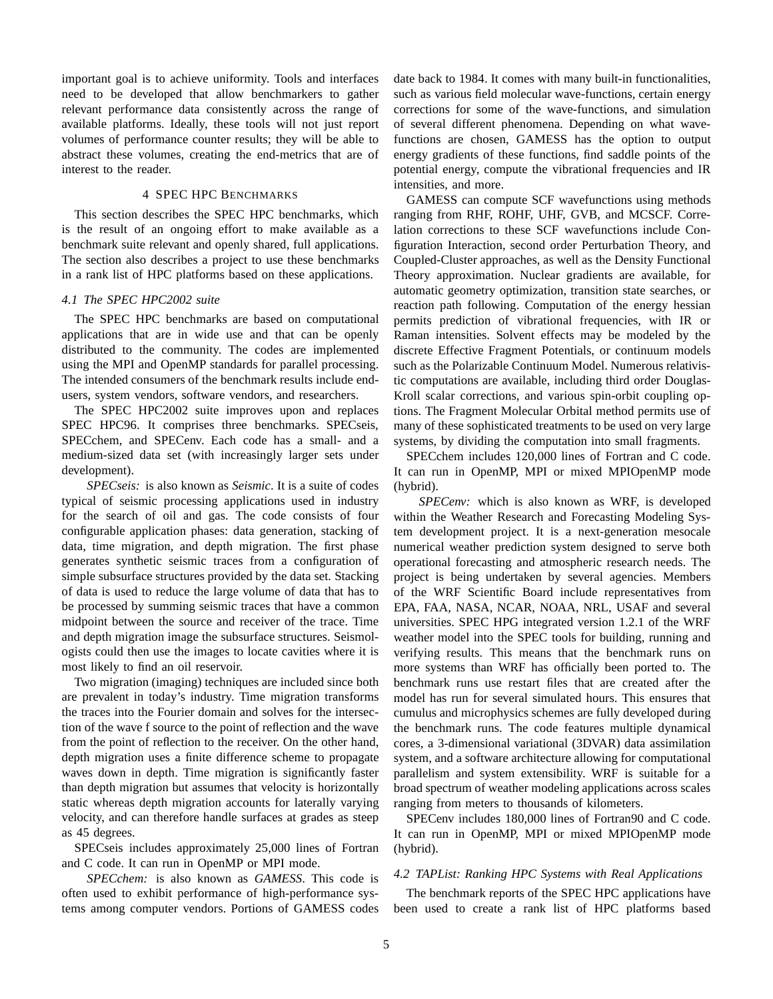important goal is to achieve uniformity. Tools and interfaces need to be developed that allow benchmarkers to gather relevant performance data consistently across the range of available platforms. Ideally, these tools will not just report volumes of performance counter results; they will be able to abstract these volumes, creating the end-metrics that are of interest to the reader.

## 4 SPEC HPC BENCHMARKS

This section describes the SPEC HPC benchmarks, which is the result of an ongoing effort to make available as a benchmark suite relevant and openly shared, full applications. The section also describes a project to use these benchmarks in a rank list of HPC platforms based on these applications.

#### *4.1 The SPEC HPC2002 suite*

The SPEC HPC benchmarks are based on computational applications that are in wide use and that can be openly distributed to the community. The codes are implemented using the MPI and OpenMP standards for parallel processing. The intended consumers of the benchmark results include endusers, system vendors, software vendors, and researchers.

The SPEC HPC2002 suite improves upon and replaces SPEC HPC96. It comprises three benchmarks. SPECseis, SPECchem, and SPECenv. Each code has a small- and a medium-sized data set (with increasingly larger sets under development).

*SPECseis:* is also known as *Seismic*. It is a suite of codes typical of seismic processing applications used in industry for the search of oil and gas. The code consists of four configurable application phases: data generation, stacking of data, time migration, and depth migration. The first phase generates synthetic seismic traces from a configuration of simple subsurface structures provided by the data set. Stacking of data is used to reduce the large volume of data that has to be processed by summing seismic traces that have a common midpoint between the source and receiver of the trace. Time and depth migration image the subsurface structures. Seismologists could then use the images to locate cavities where it is most likely to find an oil reservoir.

Two migration (imaging) techniques are included since both are prevalent in today's industry. Time migration transforms the traces into the Fourier domain and solves for the intersection of the wave f source to the point of reflection and the wave from the point of reflection to the receiver. On the other hand, depth migration uses a finite difference scheme to propagate waves down in depth. Time migration is significantly faster than depth migration but assumes that velocity is horizontally static whereas depth migration accounts for laterally varying velocity, and can therefore handle surfaces at grades as steep as 45 degrees.

SPECseis includes approximately 25,000 lines of Fortran and C code. It can run in OpenMP or MPI mode.

*SPECchem:* is also known as *GAMESS*. This code is often used to exhibit performance of high-performance systems among computer vendors. Portions of GAMESS codes date back to 1984. It comes with many built-in functionalities, such as various field molecular wave-functions, certain energy corrections for some of the wave-functions, and simulation of several different phenomena. Depending on what wavefunctions are chosen, GAMESS has the option to output energy gradients of these functions, find saddle points of the potential energy, compute the vibrational frequencies and IR intensities, and more.

GAMESS can compute SCF wavefunctions using methods ranging from RHF, ROHF, UHF, GVB, and MCSCF. Correlation corrections to these SCF wavefunctions include Configuration Interaction, second order Perturbation Theory, and Coupled-Cluster approaches, as well as the Density Functional Theory approximation. Nuclear gradients are available, for automatic geometry optimization, transition state searches, or reaction path following. Computation of the energy hessian permits prediction of vibrational frequencies, with IR or Raman intensities. Solvent effects may be modeled by the discrete Effective Fragment Potentials, or continuum models such as the Polarizable Continuum Model. Numerous relativistic computations are available, including third order Douglas-Kroll scalar corrections, and various spin-orbit coupling options. The Fragment Molecular Orbital method permits use of many of these sophisticated treatments to be used on very large systems, by dividing the computation into small fragments.

SPECchem includes 120,000 lines of Fortran and C code. It can run in OpenMP, MPI or mixed MPIOpenMP mode (hybrid).

*SPECenv:* which is also known as WRF, is developed within the Weather Research and Forecasting Modeling System development project. It is a next-generation mesocale numerical weather prediction system designed to serve both operational forecasting and atmospheric research needs. The project is being undertaken by several agencies. Members of the WRF Scientific Board include representatives from EPA, FAA, NASA, NCAR, NOAA, NRL, USAF and several universities. SPEC HPG integrated version 1.2.1 of the WRF weather model into the SPEC tools for building, running and verifying results. This means that the benchmark runs on more systems than WRF has officially been ported to. The benchmark runs use restart files that are created after the model has run for several simulated hours. This ensures that cumulus and microphysics schemes are fully developed during the benchmark runs. The code features multiple dynamical cores, a 3-dimensional variational (3DVAR) data assimilation system, and a software architecture allowing for computational parallelism and system extensibility. WRF is suitable for a broad spectrum of weather modeling applications across scales ranging from meters to thousands of kilometers.

SPECenv includes 180,000 lines of Fortran90 and C code. It can run in OpenMP, MPI or mixed MPIOpenMP mode (hybrid).

# *4.2 TAPList: Ranking HPC Systems with Real Applications*

The benchmark reports of the SPEC HPC applications have been used to create a rank list of HPC platforms based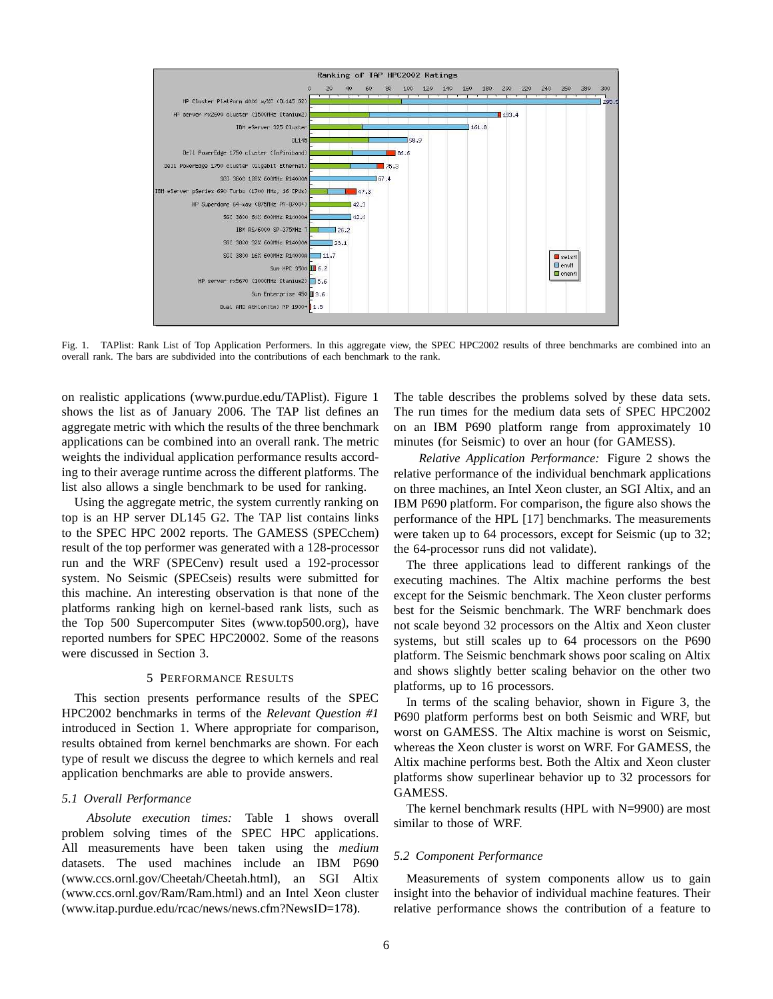

Fig. 1. TAPlist: Rank List of Top Application Performers. In this aggregate view, the SPEC HPC2002 results of three benchmarks are combined into an overall rank. The bars are subdivided into the contributions of each benchmark to the rank.

on realistic applications (www.purdue.edu/TAPlist). Figure 1 shows the list as of January 2006. The TAP list defines an aggregate metric with which the results of the three benchmark applications can be combined into an overall rank. The metric weights the individual application performance results according to their average runtime across the different platforms. The list also allows a single benchmark to be used for ranking.

Using the aggregate metric, the system currently ranking on top is an HP server DL145 G2. The TAP list contains links to the SPEC HPC 2002 reports. The GAMESS (SPECchem) result of the top performer was generated with a 128-processor run and the WRF (SPECenv) result used a 192-processor system. No Seismic (SPECseis) results were submitted for this machine. An interesting observation is that none of the platforms ranking high on kernel-based rank lists, such as the Top 500 Supercomputer Sites (www.top500.org), have reported numbers for SPEC HPC20002. Some of the reasons were discussed in Section 3.

#### 5 PERFORMANCE RESULTS

This section presents performance results of the SPEC HPC2002 benchmarks in terms of the *Relevant Question #1* introduced in Section 1. Where appropriate for comparison, results obtained from kernel benchmarks are shown. For each type of result we discuss the degree to which kernels and real application benchmarks are able to provide answers.

#### *5.1 Overall Performance*

*Absolute execution times:* Table 1 shows overall problem solving times of the SPEC HPC applications. All measurements have been taken using the *medium* datasets. The used machines include an IBM P690 (www.ccs.ornl.gov/Cheetah/Cheetah.html), an SGI Altix (www.ccs.ornl.gov/Ram/Ram.html) and an Intel Xeon cluster (www.itap.purdue.edu/rcac/news/news.cfm?NewsID=178).

The table describes the problems solved by these data sets. The run times for the medium data sets of SPEC HPC2002 on an IBM P690 platform range from approximately 10 minutes (for Seismic) to over an hour (for GAMESS).

*Relative Application Performance:* Figure 2 shows the relative performance of the individual benchmark applications on three machines, an Intel Xeon cluster, an SGI Altix, and an IBM P690 platform. For comparison, the figure also shows the performance of the HPL [17] benchmarks. The measurements were taken up to 64 processors, except for Seismic (up to 32; the 64-processor runs did not validate).

The three applications lead to different rankings of the executing machines. The Altix machine performs the best except for the Seismic benchmark. The Xeon cluster performs best for the Seismic benchmark. The WRF benchmark does not scale beyond 32 processors on the Altix and Xeon cluster systems, but still scales up to 64 processors on the P690 platform. The Seismic benchmark shows poor scaling on Altix and shows slightly better scaling behavior on the other two platforms, up to 16 processors.

In terms of the scaling behavior, shown in Figure 3, the P690 platform performs best on both Seismic and WRF, but worst on GAMESS. The Altix machine is worst on Seismic, whereas the Xeon cluster is worst on WRF. For GAMESS, the Altix machine performs best. Both the Altix and Xeon cluster platforms show superlinear behavior up to 32 processors for GAMESS.

The kernel benchmark results (HPL with N=9900) are most similar to those of WRF.

#### *5.2 Component Performance*

Measurements of system components allow us to gain insight into the behavior of individual machine features. Their relative performance shows the contribution of a feature to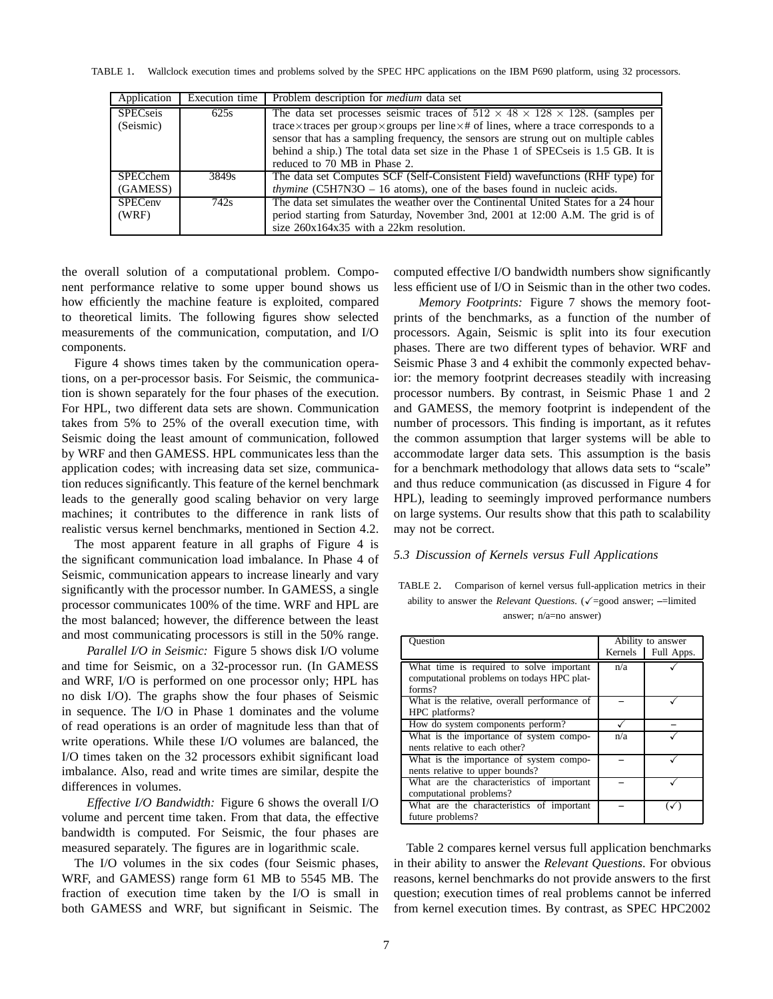TABLE 1. Wallclock execution times and problems solved by the SPEC HPC applications on the IBM P690 platform, using 32 processors.

| Application                  | Execution time | Problem description for <i>medium</i> data set                                                                                                                                                                                                                                                                                                                                              |
|------------------------------|----------------|---------------------------------------------------------------------------------------------------------------------------------------------------------------------------------------------------------------------------------------------------------------------------------------------------------------------------------------------------------------------------------------------|
| <b>SPECseis</b><br>(Seismic) | 625s           | The data set processes seismic traces of $512 \times 48 \times 128 \times 128$ . (samples per<br>trace $\times$ traces per group $\times$ groups per line $\times$ # of lines, where a trace corresponds to a<br>sensor that has a sampling frequency, the sensors are strung out on multiple cables<br>behind a ship.) The total data set size in the Phase 1 of SPECseis is 1.5 GB. It is |
|                              |                | reduced to 70 MB in Phase 2.                                                                                                                                                                                                                                                                                                                                                                |
| <b>SPECchem</b><br>(GAMESS)  | 3849s          | The data set Computes SCF (Self-Consistent Field) wavefunctions (RHF type) for<br><i>thymine</i> (C5H7N3O $-$ 16 atoms), one of the bases found in nucleic acids.                                                                                                                                                                                                                           |
| <b>SPECenv</b><br>(WRF)      | 742s           | The data set simulates the weather over the Continental United States for a 24 hour<br>period starting from Saturday, November 3nd, 2001 at 12:00 A.M. The grid is of<br>size $260x164x35$ with a 22km resolution.                                                                                                                                                                          |

the overall solution of a computational problem. Component performance relative to some upper bound shows us how efficiently the machine feature is exploited, compared to theoretical limits. The following figures show selected measurements of the communication, computation, and I/O components.

Figure 4 shows times taken by the communication operations, on a per-processor basis. For Seismic, the communication is shown separately for the four phases of the execution. For HPL, two different data sets are shown. Communication takes from 5% to 25% of the overall execution time, with Seismic doing the least amount of communication, followed by WRF and then GAMESS. HPL communicates less than the application codes; with increasing data set size, communication reduces significantly. This feature of the kernel benchmark leads to the generally good scaling behavior on very large machines; it contributes to the difference in rank lists of realistic versus kernel benchmarks, mentioned in Section 4.2.

The most apparent feature in all graphs of Figure 4 is the significant communication load imbalance. In Phase 4 of Seismic, communication appears to increase linearly and vary significantly with the processor number. In GAMESS, a single processor communicates 100% of the time. WRF and HPL are the most balanced; however, the difference between the least and most communicating processors is still in the 50% range.

*Parallel I/O in Seismic:* Figure 5 shows disk I/O volume and time for Seismic, on a 32-processor run. (In GAMESS and WRF, I/O is performed on one processor only; HPL has no disk I/O). The graphs show the four phases of Seismic in sequence. The I/O in Phase 1 dominates and the volume of read operations is an order of magnitude less than that of write operations. While these I/O volumes are balanced, the I/O times taken on the 32 processors exhibit significant load imbalance. Also, read and write times are similar, despite the differences in volumes.

*Effective I/O Bandwidth:* Figure 6 shows the overall I/O volume and percent time taken. From that data, the effective bandwidth is computed. For Seismic, the four phases are measured separately. The figures are in logarithmic scale.

The I/O volumes in the six codes (four Seismic phases, WRF, and GAMESS) range form 61 MB to 5545 MB. The fraction of execution time taken by the I/O is small in both GAMESS and WRF, but significant in Seismic. The computed effective I/O bandwidth numbers show significantly less efficient use of I/O in Seismic than in the other two codes.

*Memory Footprints:* Figure 7 shows the memory footprints of the benchmarks, as a function of the number of processors. Again, Seismic is split into its four execution phases. There are two different types of behavior. WRF and Seismic Phase 3 and 4 exhibit the commonly expected behavior: the memory footprint decreases steadily with increasing processor numbers. By contrast, in Seismic Phase 1 and 2 and GAMESS, the memory footprint is independent of the number of processors. This finding is important, as it refutes the common assumption that larger systems will be able to accommodate larger data sets. This assumption is the basis for a benchmark methodology that allows data sets to "scale" and thus reduce communication (as discussed in Figure 4 for HPL), leading to seemingly improved performance numbers on large systems. Our results show that this path to scalability may not be correct.

### *5.3 Discussion of Kernels versus Full Applications*

TABLE 2. Comparison of kernel versus full-application metrics in their ability to answer the *Relevant Questions*. ( $\checkmark$ =good answer; -=limited answer; n/a=no answer)

| Ouestion                                                                                         | Kernels | Ability to answer<br>Full Apps. |
|--------------------------------------------------------------------------------------------------|---------|---------------------------------|
| What time is required to solve important<br>computational problems on todays HPC plat-<br>forms? | n/a     |                                 |
| What is the relative, overall performance of<br>HPC platforms?                                   |         |                                 |
| How do system components perform?                                                                |         |                                 |
| What is the importance of system compo-<br>nents relative to each other?                         | n/a     |                                 |
| What is the importance of system compo-<br>nents relative to upper bounds?                       |         |                                 |
| What are the characteristics of important<br>computational problems?                             |         |                                 |
| What are the characteristics of important<br>future problems?                                    |         |                                 |

Table 2 compares kernel versus full application benchmarks in their ability to answer the *Relevant Questions*. For obvious reasons, kernel benchmarks do not provide answers to the first question; execution times of real problems cannot be inferred from kernel execution times. By contrast, as SPEC HPC2002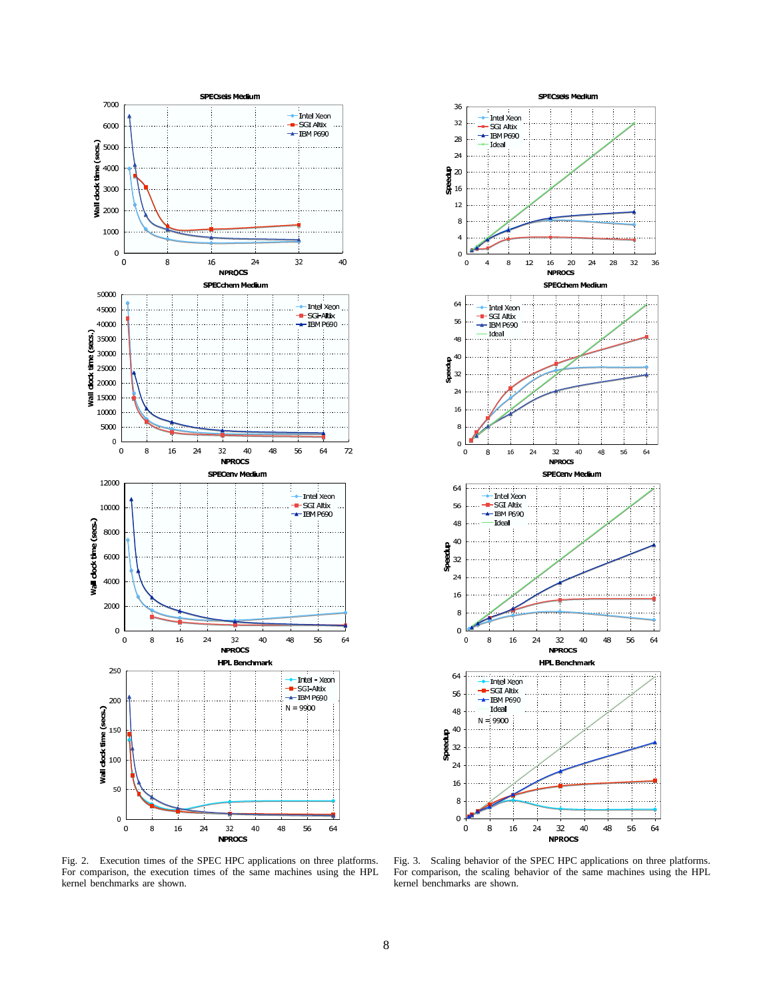



Fig. 2. Execution times of the SPEC HPC applications on three platforms. For comparison, the execution times of the same machines using the HPL kernel benchmarks are shown.

Fig. 3. Scaling behavior of the SPEC HPC applications on three platforms. For comparison, the scaling behavior of the same machines using the HPL kernel benchmarks are shown.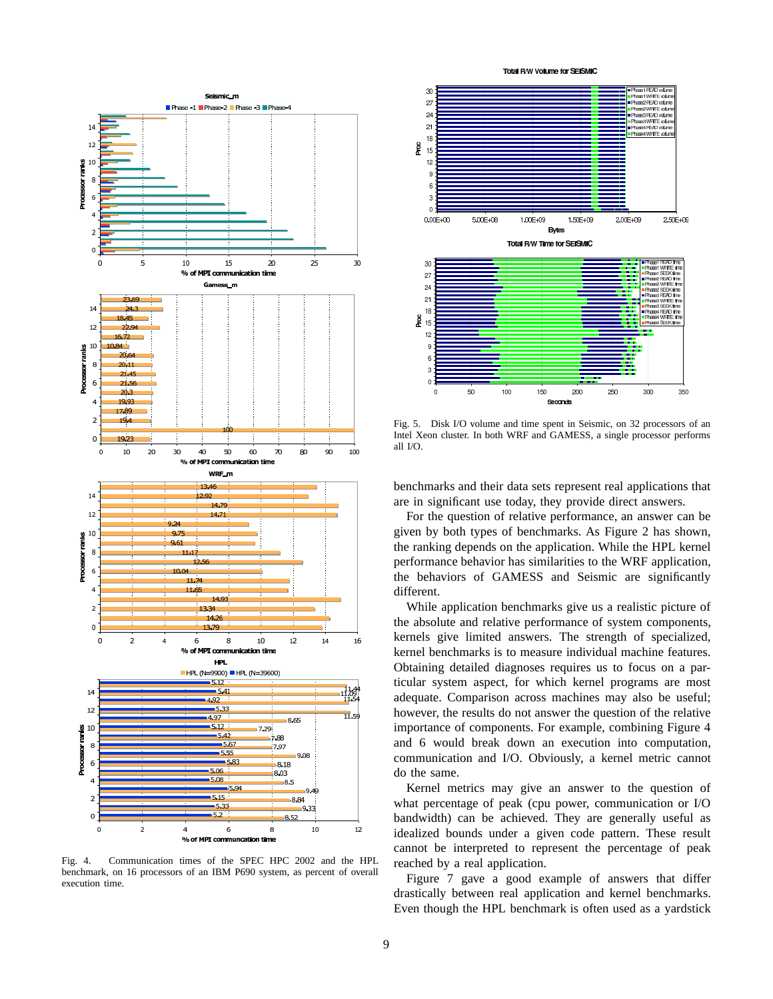

Fig. 4. Communication times of the SPEC HPC 2002 and the HPL benchmark, on 16 processors of an IBM P690 system, as percent of overall execution time.

![](_page_8_Figure_2.jpeg)

Fig. 5. Disk I/O volume and time spent in Seismic, on 32 processors of an Intel Xeon cluster. In both WRF and GAMESS, a single processor performs all I/O.

benchmarks and their data sets represent real applications that are in significant use today, they provide direct answers.

For the question of relative performance, an answer can be given by both types of benchmarks. As Figure 2 has shown, the ranking depends on the application. While the HPL kernel performance behavior has similarities to the WRF application, the behaviors of GAMESS and Seismic are significantly different.

While application benchmarks give us a realistic picture of the absolute and relative performance of system components, kernels give limited answers. The strength of specialized, kernel benchmarks is to measure individual machine features. Obtaining detailed diagnoses requires us to focus on a particular system aspect, for which kernel programs are most adequate. Comparison across machines may also be useful; however, the results do not answer the question of the relative importance of components. For example, combining Figure 4 and 6 would break down an execution into computation, communication and I/O. Obviously, a kernel metric cannot do the same.

Kernel metrics may give an answer to the question of what percentage of peak (cpu power, communication or I/O bandwidth) can be achieved. They are generally useful as idealized bounds under a given code pattern. These result cannot be interpreted to represent the percentage of peak reached by a real application.

Figure 7 gave a good example of answers that differ drastically between real application and kernel benchmarks. Even though the HPL benchmark is often used as a yardstick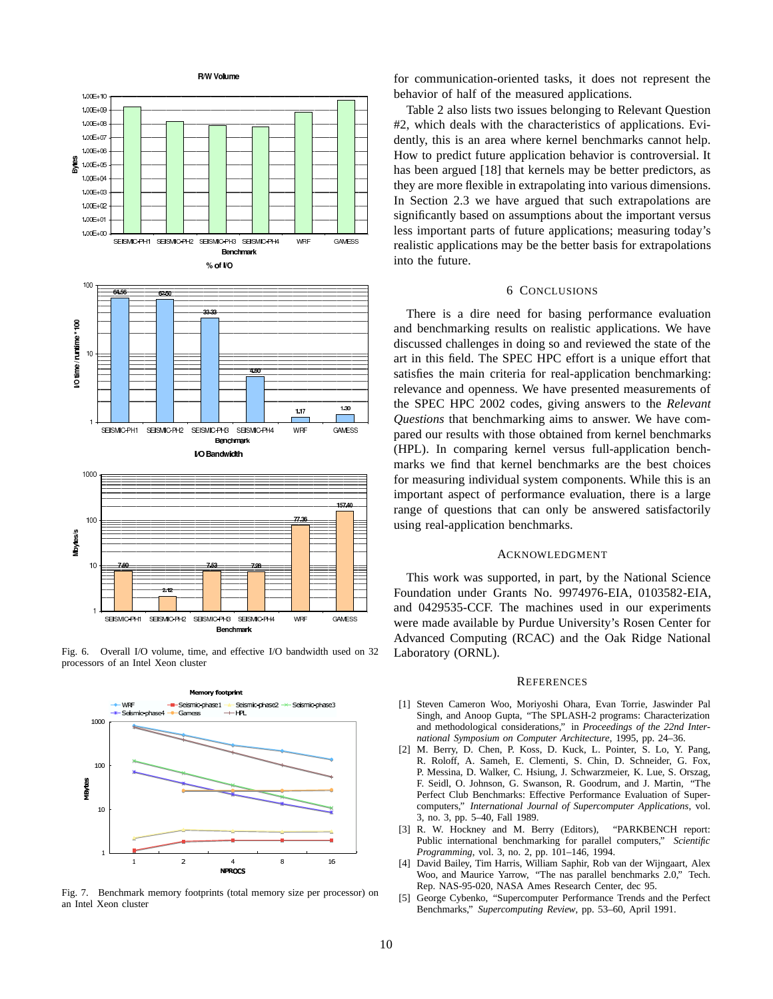![](_page_9_Figure_0.jpeg)

Fig. 6. Overall I/O volume, time, and effective I/O bandwidth used on 32 processors of an Intel Xeon cluster

![](_page_9_Figure_2.jpeg)

Fig. 7. Benchmark memory footprints (total memory size per processor) on an Intel Xeon cluster

for communication-oriented tasks, it does not represent the behavior of half of the measured applications.

Table 2 also lists two issues belonging to Relevant Question #2, which deals with the characteristics of applications. Evidently, this is an area where kernel benchmarks cannot help. How to predict future application behavior is controversial. It has been argued [18] that kernels may be better predictors, as they are more flexible in extrapolating into various dimensions. In Section 2.3 we have argued that such extrapolations are significantly based on assumptions about the important versus less important parts of future applications; measuring today's realistic applications may be the better basis for extrapolations into the future.

### 6 CONCLUSIONS

There is a dire need for basing performance evaluation and benchmarking results on realistic applications. We have discussed challenges in doing so and reviewed the state of the art in this field. The SPEC HPC effort is a unique effort that satisfies the main criteria for real-application benchmarking: relevance and openness. We have presented measurements of the SPEC HPC 2002 codes, giving answers to the *Relevant Questions* that benchmarking aims to answer. We have compared our results with those obtained from kernel benchmarks (HPL). In comparing kernel versus full-application benchmarks we find that kernel benchmarks are the best choices for measuring individual system components. While this is an important aspect of performance evaluation, there is a large range of questions that can only be answered satisfactorily using real-application benchmarks.

#### ACKNOWLEDGMENT

This work was supported, in part, by the National Science Foundation under Grants No. 9974976-EIA, 0103582-EIA, and 0429535-CCF. The machines used in our experiments were made available by Purdue University's Rosen Center for Advanced Computing (RCAC) and the Oak Ridge National Laboratory (ORNL).

#### **REFERENCES**

- [1] Steven Cameron Woo, Moriyoshi Ohara, Evan Torrie, Jaswinder Pal Singh, and Anoop Gupta, "The SPLASH-2 programs: Characterization and methodological considerations," in *Proceedings of the 22nd International Symposium on Computer Architecture*, 1995, pp. 24–36.
- [2] M. Berry, D. Chen, P. Koss, D. Kuck, L. Pointer, S. Lo, Y. Pang, R. Roloff, A. Sameh, E. Clementi, S. Chin, D. Schneider, G. Fox, P. Messina, D. Walker, C. Hsiung, J. Schwarzmeier, K. Lue, S. Orszag, F. Seidl, O. Johnson, G. Swanson, R. Goodrum, and J. Martin, "The Perfect Club Benchmarks: Effective Performance Evaluation of Supercomputers," *International Journal of Supercomputer Applications*, vol. 3, no. 3, pp. 5–40, Fall 1989.
- [3] R. W. Hockney and M. Berry (Editors), "PARKBENCH report: Public international benchmarking for parallel computers," *Scientific Programming*, vol. 3, no. 2, pp. 101–146, 1994.
- [4] David Bailey, Tim Harris, William Saphir, Rob van der Wijngaart, Alex Woo, and Maurice Yarrow, "The nas parallel benchmarks 2.0," Tech. Rep. NAS-95-020, NASA Ames Research Center, dec 95.
- [5] George Cybenko, "Supercomputer Performance Trends and the Perfect Benchmarks," *Supercomputing Review*, pp. 53–60, April 1991.